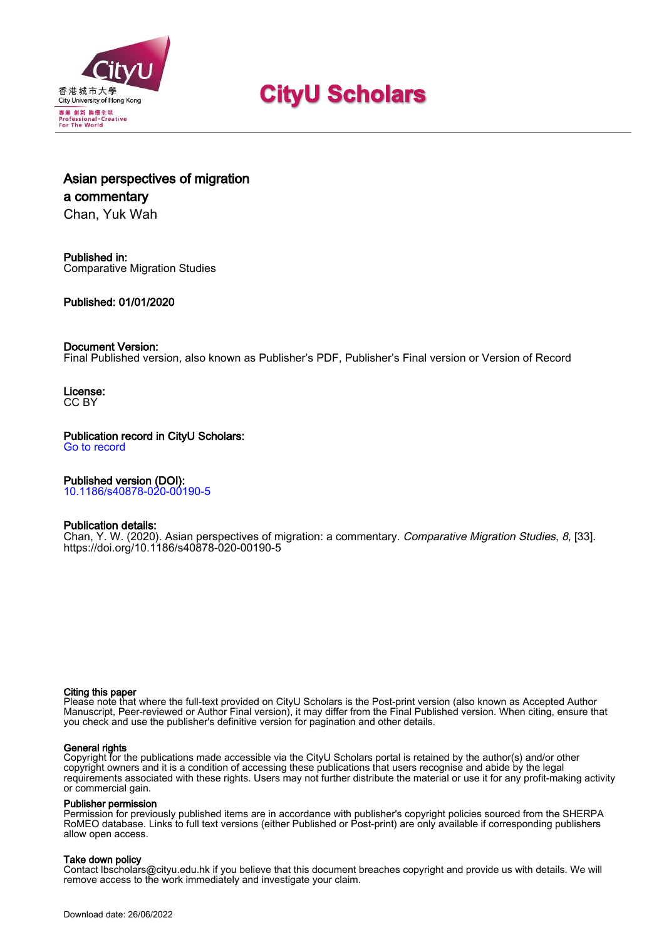

# **CityU Scholars**

# Asian perspectives of migration a commentary

Chan, Yuk Wah

### Published in: Comparative Migration Studies

### Published: 01/01/2020

### Document Version:

Final Published version, also known as Publisher's PDF, Publisher's Final version or Version of Record

License: CC BY

### Publication record in CityU Scholars:

[Go to record](https://scholars.cityu.edu.hk/en/publications/asian-perspectives-of-migration(7f3e29aa-d4a9-4a5b-9f73-1b28b6c79a69).html)

### Published version (DOI):

[10.1186/s40878-020-00190-5](https://doi.org/10.1186/s40878-020-00190-5)

### Publication details:

[Chan, Y. W.](https://scholars.cityu.edu.hk/en/persons/yuk-wah-chan(5232aff5-45c8-48d4-9bd5-cf3cd5834df8).html) (2020). [Asian perspectives of migration: a commentary.](https://scholars.cityu.edu.hk/en/publications/asian-perspectives-of-migration(7f3e29aa-d4a9-4a5b-9f73-1b28b6c79a69).html) [Comparative Migration Studies](https://scholars.cityu.edu.hk/en/journals/comparative-migration-studies(4965896c-9610-4990-8b0a-65e7962cf86e)/publications.html), 8, [33]. <https://doi.org/10.1186/s40878-020-00190-5>

### Citing this paper

Please note that where the full-text provided on CityU Scholars is the Post-print version (also known as Accepted Author Manuscript, Peer-reviewed or Author Final version), it may differ from the Final Published version. When citing, ensure that you check and use the publisher's definitive version for pagination and other details.

### General rights

Copyright for the publications made accessible via the CityU Scholars portal is retained by the author(s) and/or other copyright owners and it is a condition of accessing these publications that users recognise and abide by the legal requirements associated with these rights. Users may not further distribute the material or use it for any profit-making activity or commercial gain.

### Publisher permission

Permission for previously published items are in accordance with publisher's copyright policies sourced from the SHERPA RoMEO database. Links to full text versions (either Published or Post-print) are only available if corresponding publishers allow open access.

### Take down policy

Contact lbscholars@cityu.edu.hk if you believe that this document breaches copyright and provide us with details. We will remove access to the work immediately and investigate your claim.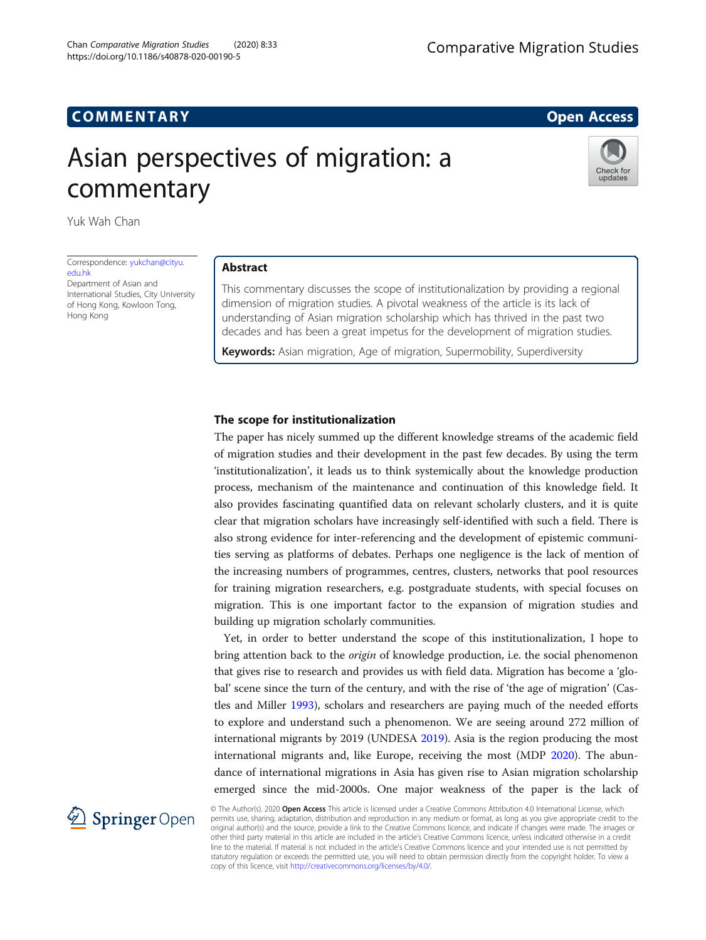## COMM EN TARY Open Access

# Asian perspectives of migration: a commentary



Yuk Wah Chan

Correspondence: [yukchan@cityu.](mailto:yukchan@cityu.edu.hk) [edu.hk](mailto:yukchan@cityu.edu.hk)

Department of Asian and International Studies, City University of Hong Kong, Kowloon Tong, Hong Kong

### Abstract

This commentary discusses the scope of institutionalization by providing a regional dimension of migration studies. A pivotal weakness of the article is its lack of understanding of Asian migration scholarship which has thrived in the past two decades and has been a great impetus for the development of migration studies.

Keywords: Asian migration, Age of migration, Supermobility, Superdiversity

### The scope for institutionalization

The paper has nicely summed up the different knowledge streams of the academic field of migration studies and their development in the past few decades. By using the term 'institutionalization', it leads us to think systemically about the knowledge production process, mechanism of the maintenance and continuation of this knowledge field. It also provides fascinating quantified data on relevant scholarly clusters, and it is quite clear that migration scholars have increasingly self-identified with such a field. There is also strong evidence for inter-referencing and the development of epistemic communities serving as platforms of debates. Perhaps one negligence is the lack of mention of the increasing numbers of programmes, centres, clusters, networks that pool resources for training migration researchers, e.g. postgraduate students, with special focuses on migration. This is one important factor to the expansion of migration studies and building up migration scholarly communities.

Yet, in order to better understand the scope of this institutionalization, I hope to bring attention back to the origin of knowledge production, i.e. the social phenomenon that gives rise to research and provides us with field data. Migration has become a 'global' scene since the turn of the century, and with the rise of 'the age of migration' (Castles and Miller [1993\)](#page-5-0), scholars and researchers are paying much of the needed efforts to explore and understand such a phenomenon. We are seeing around 272 million of international migrants by 2019 (UNDESA [2019\)](#page-5-0). Asia is the region producing the most international migrants and, like Europe, receiving the most (MDP [2020\)](#page-5-0). The abundance of international migrations in Asia has given rise to Asian migration scholarship emerged since the mid-2000s. One major weakness of the paper is the lack of



© The Author(s). 2020 Open Access This article is licensed under a Creative Commons Attribution 4.0 International License, which permits use, sharing, adaptation, distribution and reproduction in any medium or format, as long as you give appropriate credit to the original author(s) and the source, provide a link to the Creative Commons licence, and indicate if changes were made. The images or other third party material in this article are included in the article's Creative Commons licence, unless indicated otherwise in a credit line to the material. If material is not included in the article's Creative Commons licence and your intended use is not permitted by statutory regulation or exceeds the permitted use, you will need to obtain permission directly from the copyright holder. To view a copy of this licence, visit <http://creativecommons.org/licenses/by/4.0/>.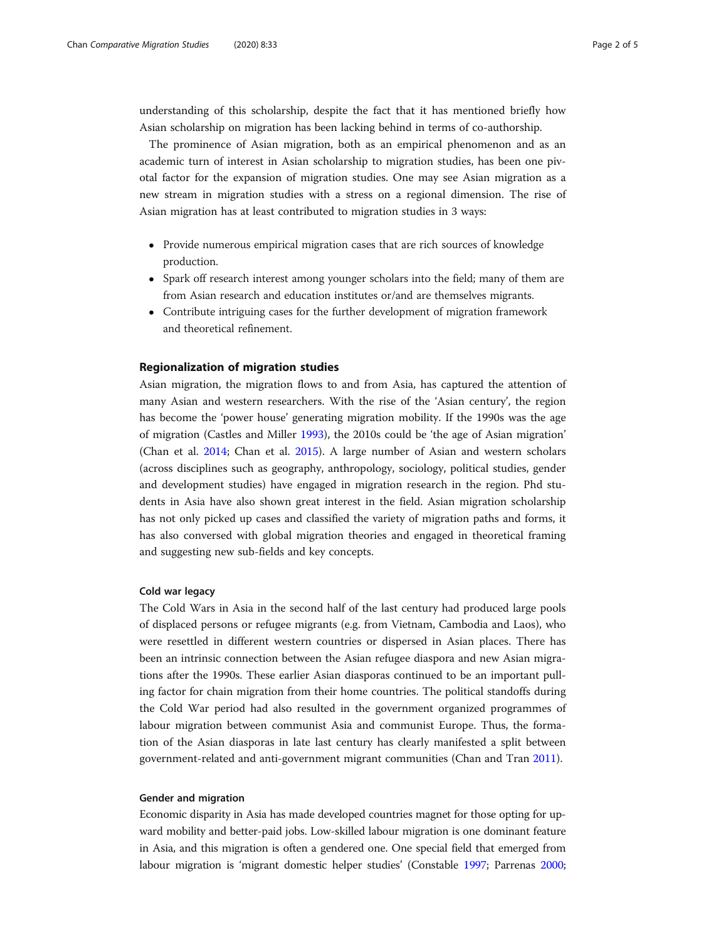understanding of this scholarship, despite the fact that it has mentioned briefly how Asian scholarship on migration has been lacking behind in terms of co-authorship.

The prominence of Asian migration, both as an empirical phenomenon and as an academic turn of interest in Asian scholarship to migration studies, has been one pivotal factor for the expansion of migration studies. One may see Asian migration as a new stream in migration studies with a stress on a regional dimension. The rise of Asian migration has at least contributed to migration studies in 3 ways:

- Provide numerous empirical migration cases that are rich sources of knowledge production.
- Spark off research interest among younger scholars into the field; many of them are from Asian research and education institutes or/and are themselves migrants.
- Contribute intriguing cases for the further development of migration framework and theoretical refinement.

### Regionalization of migration studies

Asian migration, the migration flows to and from Asia, has captured the attention of many Asian and western researchers. With the rise of the 'Asian century', the region has become the 'power house' generating migration mobility. If the 1990s was the age of migration (Castles and Miller [1993](#page-5-0)), the 2010s could be 'the age of Asian migration' (Chan et al. [2014;](#page-5-0) Chan et al. [2015\)](#page-5-0). A large number of Asian and western scholars (across disciplines such as geography, anthropology, sociology, political studies, gender and development studies) have engaged in migration research in the region. Phd students in Asia have also shown great interest in the field. Asian migration scholarship has not only picked up cases and classified the variety of migration paths and forms, it has also conversed with global migration theories and engaged in theoretical framing and suggesting new sub-fields and key concepts.

### Cold war legacy

The Cold Wars in Asia in the second half of the last century had produced large pools of displaced persons or refugee migrants (e.g. from Vietnam, Cambodia and Laos), who were resettled in different western countries or dispersed in Asian places. There has been an intrinsic connection between the Asian refugee diaspora and new Asian migrations after the 1990s. These earlier Asian diasporas continued to be an important pulling factor for chain migration from their home countries. The political standoffs during the Cold War period had also resulted in the government organized programmes of labour migration between communist Asia and communist Europe. Thus, the formation of the Asian diasporas in late last century has clearly manifested a split between government-related and anti-government migrant communities (Chan and Tran [2011\)](#page-5-0).

### Gender and migration

Economic disparity in Asia has made developed countries magnet for those opting for upward mobility and better-paid jobs. Low-skilled labour migration is one dominant feature in Asia, and this migration is often a gendered one. One special field that emerged from labour migration is 'migrant domestic helper studies' (Constable [1997;](#page-5-0) Parrenas [2000](#page-5-0);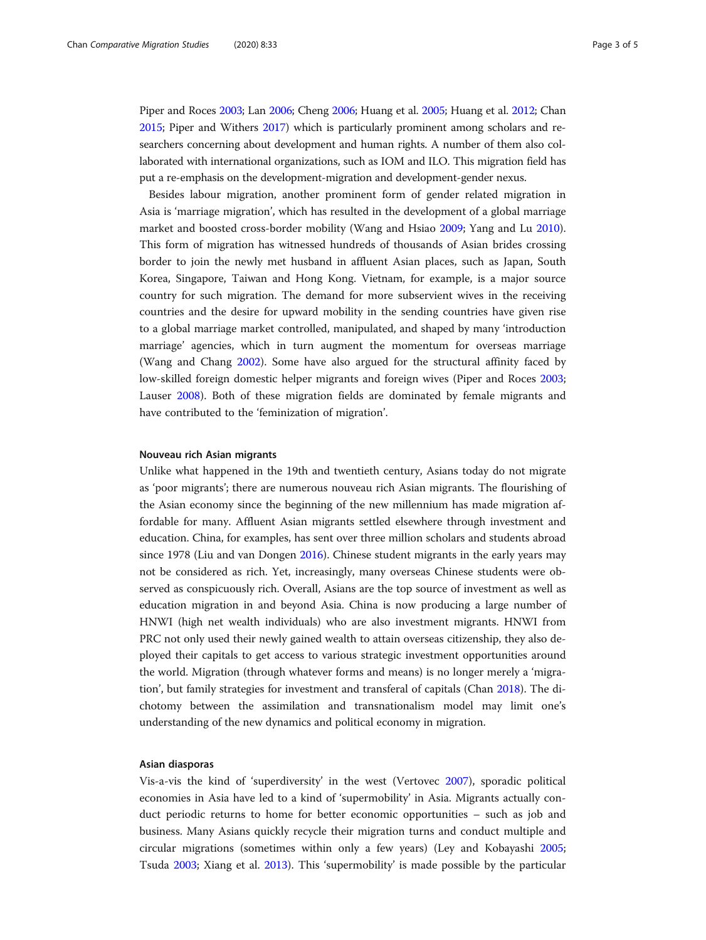Piper and Roces [2003](#page-5-0); Lan [2006](#page-5-0); Cheng [2006;](#page-5-0) Huang et al. [2005](#page-5-0); Huang et al. [2012](#page-5-0); Chan [2015;](#page-5-0) Piper and Withers [2017](#page-5-0)) which is particularly prominent among scholars and researchers concerning about development and human rights. A number of them also collaborated with international organizations, such as IOM and ILO. This migration field has put a re-emphasis on the development-migration and development-gender nexus.

Besides labour migration, another prominent form of gender related migration in Asia is 'marriage migration', which has resulted in the development of a global marriage market and boosted cross-border mobility (Wang and Hsiao [2009;](#page-5-0) Yang and Lu [2010](#page-5-0)). This form of migration has witnessed hundreds of thousands of Asian brides crossing border to join the newly met husband in affluent Asian places, such as Japan, South Korea, Singapore, Taiwan and Hong Kong. Vietnam, for example, is a major source country for such migration. The demand for more subservient wives in the receiving countries and the desire for upward mobility in the sending countries have given rise to a global marriage market controlled, manipulated, and shaped by many 'introduction marriage' agencies, which in turn augment the momentum for overseas marriage (Wang and Chang [2002\)](#page-5-0). Some have also argued for the structural affinity faced by low-skilled foreign domestic helper migrants and foreign wives (Piper and Roces [2003](#page-5-0); Lauser [2008\)](#page-5-0). Both of these migration fields are dominated by female migrants and have contributed to the 'feminization of migration'.

### Nouveau rich Asian migrants

Unlike what happened in the 19th and twentieth century, Asians today do not migrate as 'poor migrants'; there are numerous nouveau rich Asian migrants. The flourishing of the Asian economy since the beginning of the new millennium has made migration affordable for many. Affluent Asian migrants settled elsewhere through investment and education. China, for examples, has sent over three million scholars and students abroad since 1978 (Liu and van Dongen [2016\)](#page-5-0). Chinese student migrants in the early years may not be considered as rich. Yet, increasingly, many overseas Chinese students were observed as conspicuously rich. Overall, Asians are the top source of investment as well as education migration in and beyond Asia. China is now producing a large number of HNWI (high net wealth individuals) who are also investment migrants. HNWI from PRC not only used their newly gained wealth to attain overseas citizenship, they also deployed their capitals to get access to various strategic investment opportunities around the world. Migration (through whatever forms and means) is no longer merely a 'migration', but family strategies for investment and transferal of capitals (Chan [2018\)](#page-5-0). The dichotomy between the assimilation and transnationalism model may limit one's understanding of the new dynamics and political economy in migration.

### Asian diasporas

Vis-a-vis the kind of 'superdiversity' in the west (Vertovec [2007](#page-5-0)), sporadic political economies in Asia have led to a kind of 'supermobility' in Asia. Migrants actually conduct periodic returns to home for better economic opportunities – such as job and business. Many Asians quickly recycle their migration turns and conduct multiple and circular migrations (sometimes within only a few years) (Ley and Kobayashi [2005](#page-5-0); Tsuda [2003](#page-5-0); Xiang et al. [2013\)](#page-5-0). This 'supermobility' is made possible by the particular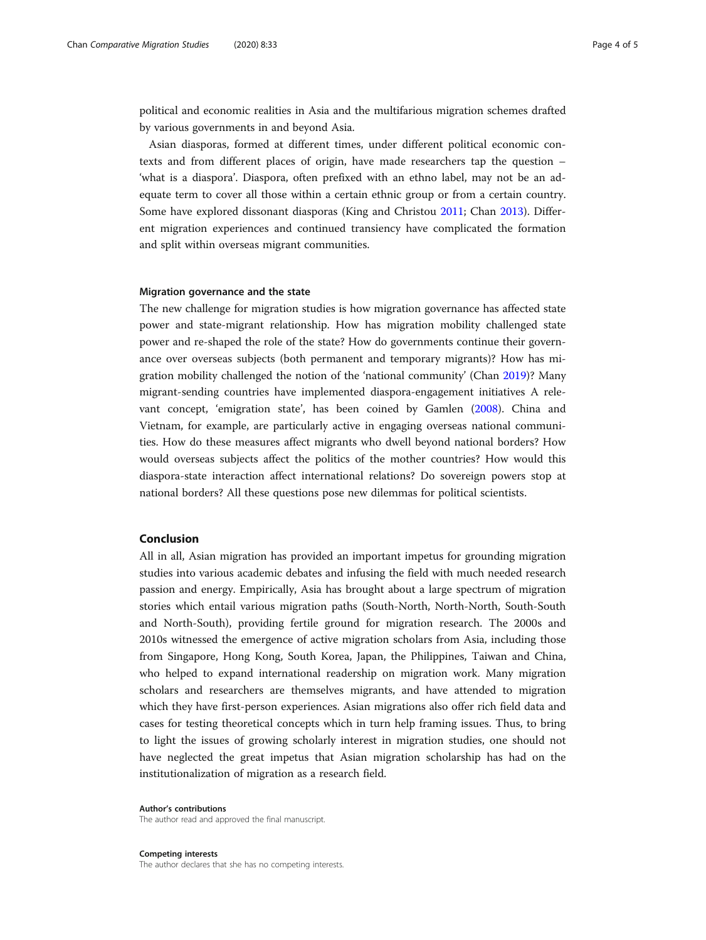political and economic realities in Asia and the multifarious migration schemes drafted by various governments in and beyond Asia.

Asian diasporas, formed at different times, under different political economic contexts and from different places of origin, have made researchers tap the question – 'what is a diaspora'. Diaspora, often prefixed with an ethno label, may not be an adequate term to cover all those within a certain ethnic group or from a certain country. Some have explored dissonant diasporas (King and Christou [2011](#page-5-0); Chan [2013\)](#page-5-0). Different migration experiences and continued transiency have complicated the formation and split within overseas migrant communities.

### Migration governance and the state

The new challenge for migration studies is how migration governance has affected state power and state-migrant relationship. How has migration mobility challenged state power and re-shaped the role of the state? How do governments continue their governance over overseas subjects (both permanent and temporary migrants)? How has migration mobility challenged the notion of the 'national community' (Chan [2019](#page-5-0))? Many migrant-sending countries have implemented diaspora-engagement initiatives A relevant concept, 'emigration state', has been coined by Gamlen ([2008](#page-5-0)). China and Vietnam, for example, are particularly active in engaging overseas national communities. How do these measures affect migrants who dwell beyond national borders? How would overseas subjects affect the politics of the mother countries? How would this diaspora-state interaction affect international relations? Do sovereign powers stop at national borders? All these questions pose new dilemmas for political scientists.

### Conclusion

All in all, Asian migration has provided an important impetus for grounding migration studies into various academic debates and infusing the field with much needed research passion and energy. Empirically, Asia has brought about a large spectrum of migration stories which entail various migration paths (South-North, North-North, South-South and North-South), providing fertile ground for migration research. The 2000s and 2010s witnessed the emergence of active migration scholars from Asia, including those from Singapore, Hong Kong, South Korea, Japan, the Philippines, Taiwan and China, who helped to expand international readership on migration work. Many migration scholars and researchers are themselves migrants, and have attended to migration which they have first-person experiences. Asian migrations also offer rich field data and cases for testing theoretical concepts which in turn help framing issues. Thus, to bring to light the issues of growing scholarly interest in migration studies, one should not have neglected the great impetus that Asian migration scholarship has had on the institutionalization of migration as a research field.

Author's contributions The author read and approved the final manuscript.

Competing interests The author declares that she has no competing interests.